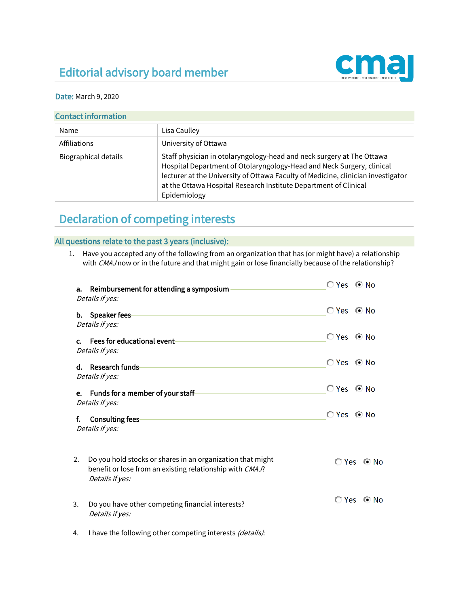## Editorial advisory board member



## Date: March 9, 2020

|  |  |  | <b>Contact information</b> |
|--|--|--|----------------------------|
|--|--|--|----------------------------|

| Name                        | Lisa Caulley                                                                                                                                                                                                                                                                                                           |  |
|-----------------------------|------------------------------------------------------------------------------------------------------------------------------------------------------------------------------------------------------------------------------------------------------------------------------------------------------------------------|--|
| Affiliations                | University of Ottawa                                                                                                                                                                                                                                                                                                   |  |
| <b>Biographical details</b> | Staff physician in otolaryngology-head and neck surgery at The Ottawa<br>Hospital Department of Otolaryngology-Head and Neck Surgery, clinical<br>lecturer at the University of Ottawa Faculty of Medicine, clinician investigator<br>at the Ottawa Hospital Research Institute Department of Clinical<br>Epidemiology |  |

## Declaration of competing interests

## All questions relate to the past 3 years (inclusive):

1. Have you accepted any of the following from an organization that has (or might have) a relationship with CMAJ now or in the future and that might gain or lose financially because of the relationship?

| Reimbursement for attending a symposium<br>а.<br>Details if yes:                                                                                |                              |
|-------------------------------------------------------------------------------------------------------------------------------------------------|------------------------------|
| b. Speaker fees-<br>Details if yes:                                                                                                             | <b>O</b> Yes <b>⊙</b> No     |
| c. Fees for educational event<br>Details if yes:                                                                                                |                              |
| Research funds<br>d.<br>Details if yes:                                                                                                         | © Yes © No                   |
| e. Funds for a member of your staff-<br>Details if yes:                                                                                         | $\bigcirc$ Yes $\bigcirc$ No |
| f.<br><b>Consulting fees-</b><br>Details if yes:                                                                                                | © Yes © No                   |
| Do you hold stocks or shares in an organization that might<br>2.<br>benefit or lose from an existing relationship with CMAJ?<br>Details if yes: | iO Yes l® No                 |
| Do you have other competing financial interests?<br>3.<br>Details if yes:                                                                       | <b>O</b> Yes © No            |
| I have the following other competing interests (details):<br>4.                                                                                 |                              |